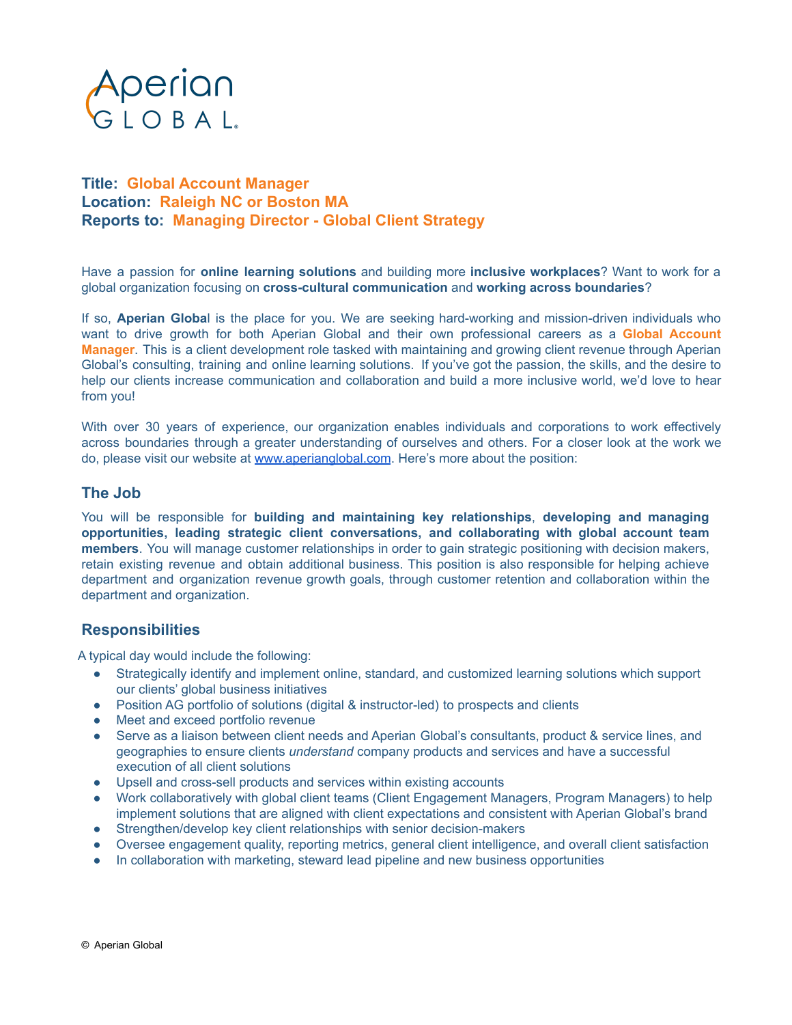

## **Title: Global Account Manager Location: Raleigh NC or Boston MA Reports to: Managing Director - Global Client Strategy**

Have a passion for **online learning solutions** and building more **inclusive workplaces**? Want to work for a global organization focusing on **cross-cultural communication** and **working across boundaries**?

If so, **Aperian Globa**l is the place for you. We are seeking hard-working and mission-driven individuals who want to drive growth for both Aperian Global and their own professional careers as a **Global Account Manager**. This is a client development role tasked with maintaining and growing client revenue through Aperian Global's consulting, training and online learning solutions. If you've got the passion, the skills, and the desire to help our clients increase communication and collaboration and build a more inclusive world, we'd love to hear from you!

With over 30 years of experience, our organization enables individuals and corporations to work effectively across boundaries through a greater understanding of ourselves and others. For a closer look at the work we do, please visit our website at [www.aperianglobal.com](http://www.aperianglobal.com). Here's more about the position:

### **The Job**

You will be responsible for **building and maintaining key relationships**, **developing and managing opportunities, leading strategic client conversations, and collaborating with global account team members**. You will manage customer relationships in order to gain strategic positioning with decision makers, retain existing revenue and obtain additional business. This position is also responsible for helping achieve department and organization revenue growth goals, through customer retention and collaboration within the department and organization.

### **Responsibilities**

A typical day would include the following:

- Strategically identify and implement online, standard, and customized learning solutions which support our clients' global business initiatives
- Position AG portfolio of solutions (digital & instructor-led) to prospects and clients
- Meet and exceed portfolio revenue
- Serve as a liaison between client needs and Aperian Global's consultants, product & service lines, and geographies to ensure clients *understand* company products and services and have a successful execution of all client solutions
- Upsell and cross-sell products and services within existing accounts
- Work collaboratively with global client teams (Client Engagement Managers, Program Managers) to help implement solutions that are aligned with client expectations and consistent with Aperian Global's brand
- Strengthen/develop key client relationships with senior decision-makers
- Oversee engagement quality, reporting metrics, general client intelligence, and overall client satisfaction
- In collaboration with marketing, steward lead pipeline and new business opportunities